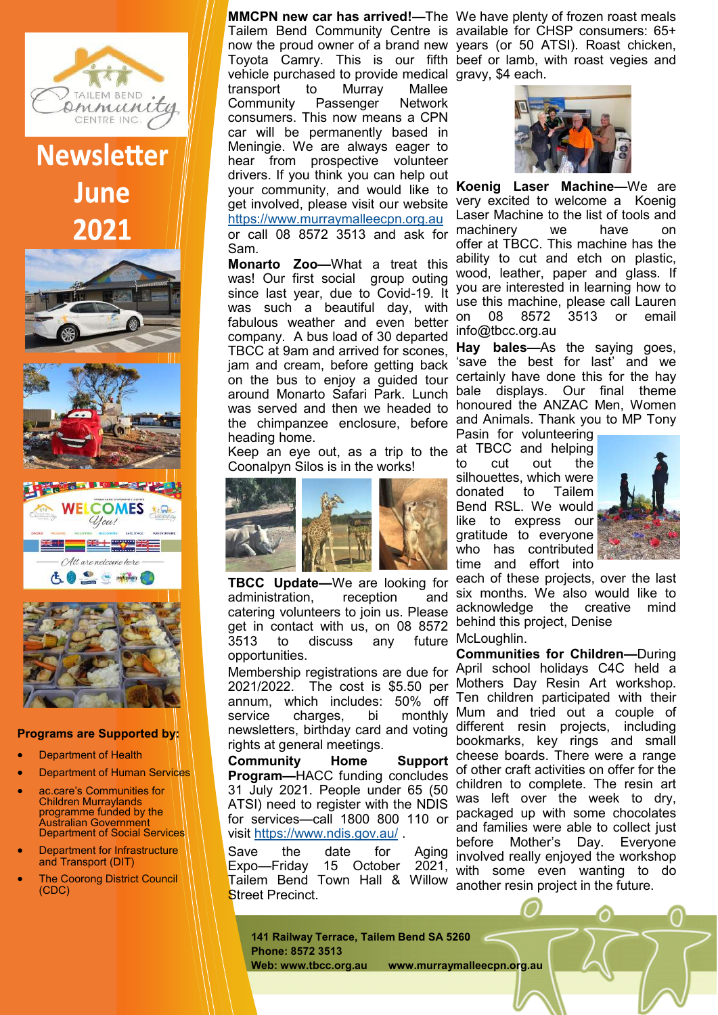

## **Newsletter** June 2021









## **Programs are Supported by:**

- Department of Health
- **Department of Human Services**
- ac.care's Communities for Children Murraylands programme funded by the Australian Government Department of Social Services
- Department for Infrastructure and Transport (DIT)
- **The Coorong District Council** (CDC)

Tailem Bend Community Centre is available for CHSP consumers: 65+ now the proud owner of a brand new years (or 50 ATSI). Roast chicken, Toyota Camry. This is our fifth beef or lamb, with roast vegies and vehicle purchased to provide medical gravy, \$4 each. transport to Murray Mallee Community Passenger Network consumers. This now means a CPN car will be permanently based in Meningie. We are always eager to hear from prospective volunteer drivers. If you think you can help out your community, and would like to get involved, please visit our website <https://www.murraymalleecpn.org.au> or call 08 8572 3513 and ask for Sam.

**Monarto Zoo—**What a treat this was! Our first social group outing since last year, due to Covid-19. It was such a beautiful day, with fabulous weather and even better company. A bus load of 30 departed TBCC at 9am and arrived for scones, jam and cream, before getting back on the bus to enjoy a guided tour around Monarto Safari Park. Lunch was served and then we headed to the chimpanzee enclosure, before heading home.

Keep an eye out, as a trip to the at TBCC and helping Coonalpyn Silos is in the works!



**TBCC Update—**We are looking for administration, reception and administration, reception catering volunteers to join us. Please get in contact with us, on 08 8572  $3513$  to discuss any opportunities. future McLoughlin.

2021/2022. The cost is \$5.50 per annum, which includes: 50% off service charges, bi monthly newsletters, birthday card and voting rights at general meetings.

**Community Home Support Program—**HACC funding concludes 31 July 2021. People under 65 (50 ATSI) need to register with the NDIS for services—call 1800 800 110 or visit <https://www.ndis.gov.au/> .

Save the date for Aging<br>Expo—Friday 15 October 2021, Expo-Friday 15 October Tailem Bend Town Hall & Willow **Street Precinct.** 

**MMCPN new car has arrived!—**The We have plenty of frozen roast meals



**Koenig Laser Machine—**We are very excited to welcome a Koenig Laser Machine to the list of tools and machinery we have on offer at TBCC. This machine has the ability to cut and etch on plastic, wood, leather, paper and glass. If you are interested in learning how to use this machine, please call Lauren on 08 8572 3513 or email info@tbcc.org.au

**Hay bales—**As the saying goes, 'save the best for last' and we certainly have done this for the hay bale displays. Our final theme honoured the ANZAC Men, Women and Animals. Thank you to MP Tony

Pasin for volunteering to cut out the silhouettes, which were donated to Tailem Bend RSL. We would like to express our gratitude to everyone who has contributed time and effort into



each of these projects, over the last six months. We also would like to acknowledge the creative mind behind this project, Denise

Membership registrations are due for April school holidays C4C held a **Communities for Children—**During Mothers Day Resin Art workshop. Ten children participated with their Mum and tried out a couple of different resin projects, including bookmarks, key rings and small cheese boards. There were a range of other craft activities on offer for the children to complete. The resin art was left over the week to dry, packaged up with some chocolates and families were able to collect just before Mother's Day. Everyone involved really enjoyed the workshop with some even wanting to do another resin project in the future.

**141 Railway Terrace, Tailem Bend SA 5260 Phone: 8572 3513 Web: www.tbcc.org.au www.murraymalleecpn.org.au**